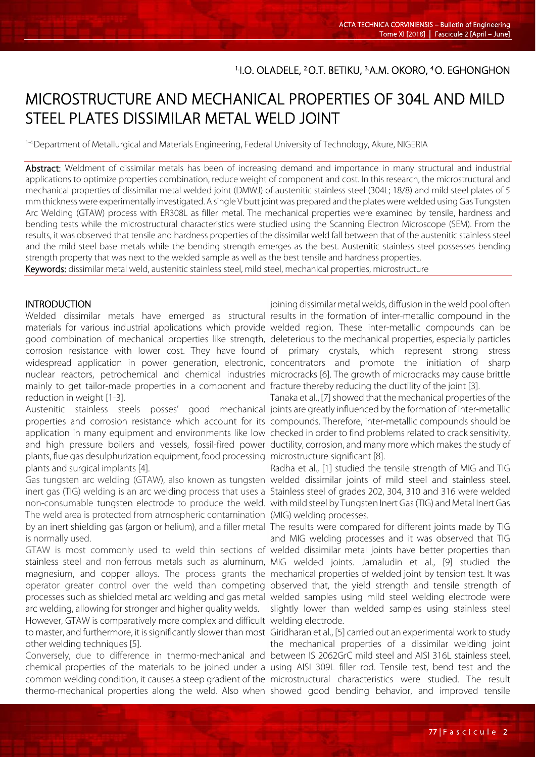## <sup>1</sup>I.O. OLADELE, <sup>2</sup>O.T. BETIKU, <sup>3.</sup>A.M. OKORO, <sup>4.</sup>O. EGHONGHON

# MICROSTRUCTURE AND MECHANICAL PROPERTIES OF 304L AND MILD STEEL PLATES DISSIMILAR METAL WELD JOINT

1-4.Department of Metallurgical and Materials Engineering, Federal University of Technology, Akure, NIGERIA

Abstract: Weldment of dissimilar metals has been of increasing demand and importance in many structural and industrial applications to optimize properties combination, reduce weight of component and cost. In this research, the microstructural and mechanical properties of dissimilar metal welded joint (DMWJ) of austenitic stainless steel (304L; 18/8) and mild steel plates of 5 mm thickness were experimentally investigated. A single V butt joint was prepared and the plates were welded using Gas Tungsten Arc Welding (GTAW) process with ER308L as filler metal. The mechanical properties were examined by tensile, hardness and bending tests while the microstructural characteristics were studied using the Scanning Electron Microscope (SEM). From the results, it was observed that tensile and hardness properties of the dissimilar weld fall between that of the austenitic stainless steel and the mild steel base metals while the bending strength emerges as the best. Austenitic stainless steel possesses bending strength property that was next to the welded sample as well as the best tensile and hardness properties.

Keywords: dissimilar metal weld, austenitic stainless steel, mild steel, mechanical properties, microstructure

#### INTRODUCTION

l

Welded dissimilar metals have emerged as structural materials for various industrial applications which provide good combination of mechanical properties like strength, corrosion resistance with lower cost. They have found widespread application in power generation, electronic, nuclear reactors, petrochemical and chemical industries mainly to get tailor-made properties in a component and reduction in weight [1-3].

Austenitic stainless steels posses' good mechanical properties and corrosion resistance which account for its application in many equipment and environments like low and high pressure boilers and vessels, fossil-fired power plants, flue gas desulphurization equipment, food processing plants and surgical implants [4].

Gas tungsten arc welding (GTAW), also known as tungsten inert gas (TIG) welding is an arc welding process that uses a non-consumable tungsten electrode to produce the weld. The weld area is protected from atmospheric contamination by an inert shielding gas (argon or helium), and a filler metal is normally used.

GTAW is most commonly used to weld thin sections of stainless steel and non-ferrous metals such as aluminum, magnesium, and copper alloys. The process grants the operator greater control over the weld than competing processes such as shielded metal arc welding and gas metal arc welding, allowing for stronger and higher quality welds.

However, GTAW is comparatively more complex and difficult to master, and furthermore, it is significantly slower than most other welding techniques [5].

Conversely, due to difference in thermo-mechanical and chemical properties of the materials to be joined under a common welding condition, it causes a steep gradient of the | microstructural characteristics were studied. The result thermo-mechanical properties along the weld. Also when showed good bending behavior, and improved tensile

joining dissimilar metal welds, diffusion in the weld pool often results in the formation of inter-metallic compound in the welded region. These inter-metallic compounds can be deleterious to the mechanical properties, especially particles of primary crystals, which represent strong stress concentrators and promote the initiation of sharp microcracks [6]. The growth of microcracks may cause brittle fracture thereby reducing the ductility of the joint [3].

Tanaka et al., [7] showed that the mechanical properties of the joints are greatly influenced by the formation of inter-metallic compounds. Therefore, inter-metallic compounds should be checked in order to find problems related to crack sensitivity, ductility, corrosion, and many more which makes the study of microstructure significant [8].

Radha et al., [1] studied the tensile strength of MIG and TIG welded dissimilar joints of mild steel and stainless steel. Stainless steel of grades 202, 304, 310 and 316 were welded with mild steel by Tungsten Inert Gas (TIG) and Metal Inert Gas (MIG) welding processes.

The results were compared for different joints made by TIG and MIG welding processes and it was observed that TIG welded dissimilar metal joints have better properties than MIG welded joints. Jamaludin et al., [9] studied the mechanical properties of welded joint by tension test. It was observed that, the yield strength and tensile strength of welded samples using mild steel welding electrode were slightly lower than welded samples using stainless steel welding electrode.

Giridharan et al., [5] carried out an experimental work to study the mechanical properties of a dissimilar welding joint between IS 2062GrC mild steel and AISI 316L stainless steel, using AISI 309L filler rod. Tensile test, bend test and the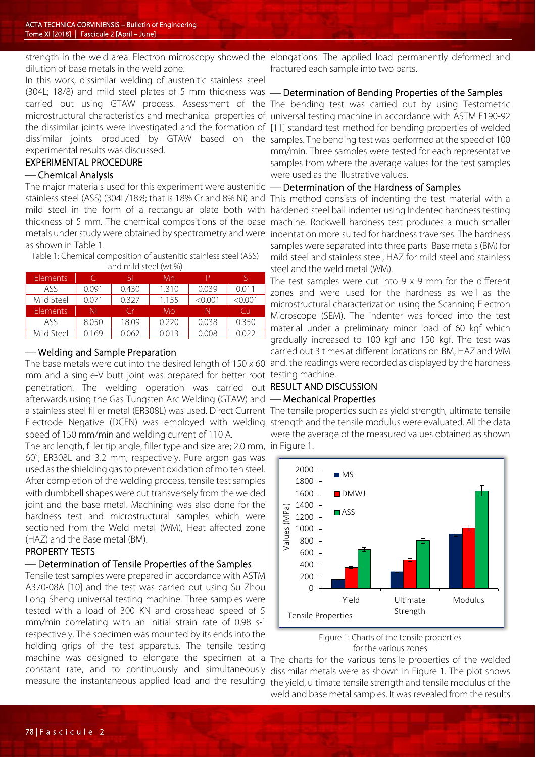dilution of base metals in the weld zone.

In this work, dissimilar welding of austenitic stainless steel (304L; 18/8) and mild steel plates of 5 mm thickness was carried out using GTAW process. Assessment of the microstructural characteristics and mechanical properties of the dissimilar joints were investigated and the formation of dissimilar joints produced by GTAW based on the experimental results was discussed.

#### EXPERIMENTAL PROCEDURE

## Chemical Analysis

The major materials used for this experiment were austenitic stainless steel (ASS) (304L/18:8; that is 18% Cr and 8% Ni) and mild steel in the form of a rectangular plate both with thickness of 5 mm. The chemical compositions of the base metals under study were obtained by spectrometry and were as shown in Table 1.

Table 1: Chemical composition of austenitic stainless steel (ASS) and mild steel (wt.%)

| <b>Elements</b> |       | Si    | Mn    |         |         |
|-----------------|-------|-------|-------|---------|---------|
| ASS.            | 0.091 | 0.430 | 1.310 | 0.039   | 0.011   |
| Mild Steel      | 0.071 | 0.327 | 1.155 | < 0.001 | < 0.001 |
| <b>Elements</b> | Ni    | (ir   | Mo    |         | Cп      |
| ASS.            | 8.050 | 18.09 | 0.220 | 0.038   | 0.350   |
| Mild Steel      | 0.169 | 0.062 | 0.013 | 0.008   | 0.022   |
|                 |       |       |       |         |         |

### Welding and Sample Preparation

The base metals were cut into the desired length of 150 x 60 mm and a single-V butt joint was prepared for better root penetration. The welding operation was carried out afterwards using the Gas Tungsten Arc Welding (GTAW) and a stainless steel filler metal (ER308L) was used. Direct Current Electrode Negative (DCEN) was employed with welding speed of 150 mm/min and welding current of 110 A.

The arc length, filler tip angle, filler type and size are; 2.0 mm, 60˚, ER308L and 3.2 mm, respectively. Pure argon gas was used as the shielding gas to prevent oxidation of molten steel. After completion of the welding process, tensile test samples with dumbbell shapes were cut transversely from the welded joint and the base metal. Machining was also done for the hardness test and microstructural samples which were sectioned from the Weld metal (WM), Heat affected zone (HAZ) and the Base metal (BM).

## PROPERTY TESTS

## Determination of Tensile Properties of the Samples

Tensile test samples were prepared in accordance with ASTM A370-08A [10] and the test was carried out using Su Zhou Long Sheng universal testing machine. Three samples were tested with a load of 300 KN and crosshead speed of 5 mm/min correlating with an initial strain rate of 0.98 s-1 respectively. The specimen was mounted by its ends into the holding grips of the test apparatus. The tensile testing machine was designed to elongate the specimen at a constant rate, and to continuously and simultaneously measure the instantaneous applied load and the resulting

strength in the weld area. Electron microscopy showed the|elongations. The applied load permanently deformed and fractured each sample into two parts.

## Determination of Bending Properties of the Samples

The bending test was carried out by using Testometric universal testing machine in accordance with ASTM E190-92 [11] standard test method for bending properties of welded samples. The bending test was performed at the speed of 100 mm/min. Three samples were tested for each representative samples from where the average values for the test samples were used as the illustrative values.

## Determination of the Hardness of Samples

This method consists of indenting the test material with a hardened steel ball indenter using Indentec hardness testing machine. Rockwell hardness test produces a much smaller indentation more suited for hardness traverses. The hardness samples were separated into three parts- Base metals (BM) for mild steel and stainless steel, HAZ for mild steel and stainless steel and the weld metal (WM).

The test samples were cut into 9 x 9 mm for the different zones and were used for the hardness as well as the microstructural characterization using the Scanning Electron Microscope (SEM). The indenter was forced into the test material under a preliminary minor load of 60 kgf which gradually increased to 100 kgf and 150 kgf. The test was carried out 3 times at different locations on BM, HAZ and WM and, the readings were recorded as displayed by the hardness testing machine.

## RESULT AND DISCUSSION - Mechanical Properties

The tensile properties such as yield strength, ultimate tensile strength and the tensile modulus were evaluated. All the data were the average of the measured values obtained as shown in Figure 1.





The charts for the various tensile properties of the welded dissimilar metals were as shown in Figure 1. The plot shows the yield, ultimate tensile strength and tensile modulus of the weld and base metal samples. It was revealed from the results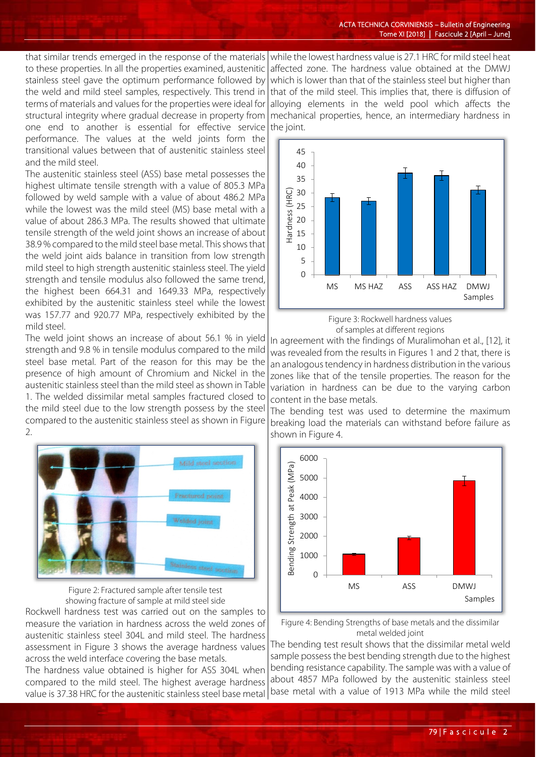that similar trends emerged in the response of the materials to these properties. In all the properties examined, austenitic stainless steel gave the optimum performance followed by the weld and mild steel samples, respectively. This trend in terms of materials and values for the properties were ideal for structural integrity where gradual decrease in property from one end to another is essential for effective service performance. The values at the weld joints form the transitional values between that of austenitic stainless steel and the mild steel.

The austenitic stainless steel (ASS) base metal possesses the highest ultimate tensile strength with a value of 805.3 MPa followed by weld sample with a value of about 486.2 MPa while the lowest was the mild steel (MS) base metal with a value of about 286.3 MPa. The results showed that ultimate tensile strength of the weld joint shows an increase of about 38.9 % compared to the mild steel base metal. This shows that the weld joint aids balance in transition from low strength mild steel to high strength austenitic stainless steel. The yield strength and tensile modulus also followed the same trend, the highest been 664.31 and 1649.33 MPa, respectively exhibited by the austenitic stainless steel while the lowest was 157.77 and 920.77 MPa, respectively exhibited by the mild steel.

The weld joint shows an increase of about 56.1 % in yield strength and 9.8 % in tensile modulus compared to the mild steel base metal. Part of the reason for this may be the presence of high amount of Chromium and Nickel in the austenitic stainless steel than the mild steel as shown in Table 1. The welded dissimilar metal samples fractured closed to the mild steel due to the low strength possess by the steel compared to the austenitic stainless steel as shown in Figure 2.



Figure 2: Fractured sample after tensile test showing fracture of sample at mild steel side

Rockwell hardness test was carried out on the samples to measure the variation in hardness across the weld zones of austenitic stainless steel 304L and mild steel. The hardness assessment in Figure 3 shows the average hardness values across the weld interface covering the base metals.

The hardness value obtained is higher for ASS 304L when compared to the mild steel. The highest average hardness value is 37.38 HRC for the austenitic stainless steel base metal

while the lowest hardness value is 27.1 HRC for mild steel heat affected zone. The hardness value obtained at the DMWJ which is lower than that of the stainless steel but higher than that of the mild steel. This implies that, there is diffusion of alloying elements in the weld pool which affects the mechanical properties, hence, an intermediary hardness in the joint.



Figure 3: Rockwell hardness values of samples at different regions

In agreement with the findings of Muralimohan et al., [12], it was revealed from the results in Figures 1 and 2 that, there is an analogous tendency in hardness distribution in the various zones like that of the tensile properties. The reason for the variation in hardness can be due to the varying carbon content in the base metals.

The bending test was used to determine the maximum breaking load the materials can withstand before failure as shown in Figure 4.



Figure 4: Bending Strengths of base metals and the dissimilar metal welded joint

The bending test result shows that the dissimilar metal weld sample possess the best bending strength due to the highest bending resistance capability. The sample was with a value of about 4857 MPa followed by the austenitic stainless steel base metal with a value of 1913 MPa while the mild steel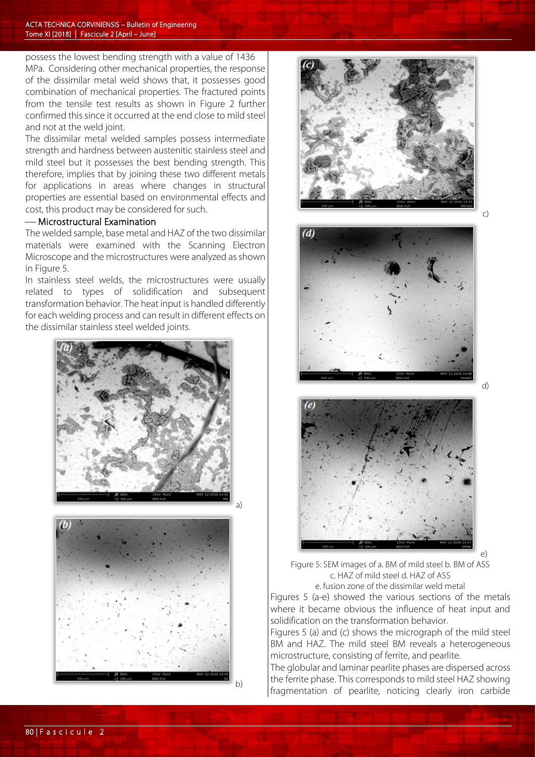possess the lowest bending strength with a value of 1436 MPa. Considering other mechanical properties, the response of the dissimilar metal weld shows that, it possesses good combination of mechanical properties. The fractured points from the tensile test results as shown in Figure 2 further confirmed this since it occurred at the end close to mild steel and not at the weld joint.

The dissimilar metal welded samples possess intermediate strength and hardness between austenitic stainless steel and mild steel but it possesses the best bending strength. This therefore, implies that by joining these two different metals for applications in areas where changes in structural properties are essential based on environmental effects and cost, this product may be considered for such.

### Microstructural Examination

The welded sample, base metal and HAZ of the two dissimilar materials were examined with the Scanning Electron Microscope and the microstructures were analyzed as shown in Figure 5.

In stainless steel welds, the microstructures were usually related to types of solidification and subsequent transformation behavior. The heat input is handled differently for each welding process and can result in different effects on the dissimilar stainless steel welded joints.





b)

a)









e)

Figure 5: SEM images of a. BM of mild steel b. BM of ASS c. HAZ of mild steel d. HAZ of ASS e. fusion zone of the dissimilar weld metal

Figures 5 (a-e) showed the various sections of the metals where it became obvious the influence of heat input and solidification on the transformation behavior.

Figures 5 (a) and (c) shows the micrograph of the mild steel BM and HAZ. The mild steel BM reveals a heterogeneous microstructure, consisting of ferrite, and pearlite.

The globular and laminar pearlite phases are dispersed across the ferrite phase. This corresponds to mild steel HAZ showing fragmentation of pearlite, noticing clearly iron carbide